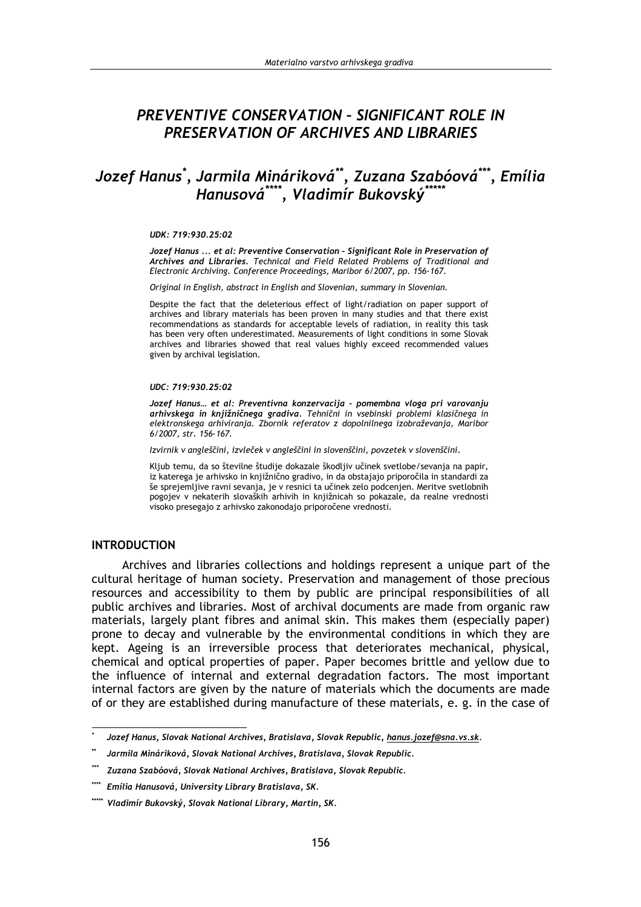# PREVENTIVE CONSERVATION - SIGNIFICANT ROLE IN PRESERVATION OF ARCHIVES AND LIBRARIES

# Jozef Hanus\*, Jarmila Mináriková\*\*, Zuzana Szabóová\*\*\*, Emília Hanusová\*\*\*\*, Vladimír Bukovský\*

#### UDK: 719:930.25:02

Jozef Hanus ... et al: Preventive Conservation - Significant Role in Preservation of Archives and Libraries. Technical and Field Related Problems of Traditional and Electronic Archiving. Conference Proceedings, Maribor 6/2007, pp. 156-167.

Original in English, abstract in English and Slovenian, summary in Slovenian.

Despite the fact that the deleterious effect of light/radiation on paper support of archives and library materials has been proven in many studies and that there exist recommendations as standards for acceptable levels of radiation, in reality this task has been very often underestimated. Measurements of light conditions in some Slovak archives and libraries showed that real values highly exceed recommended values given by archival legislation.

#### UDC: 719:930.25:02

Jozef Hanus... et al: Preventivna konzervacija - pomembna vloga pri varovanju arhivskega in knjižničnega gradiva. Tehnični in vsebinski problemi klasičnega in elektronskega arhivirania. Zbornik referatov z dopolnilnega izobraževania, Maribor 6/2007. str. 156-167.

Izvirnik v angleščini, izvleček v angleščini in slovenščini, povzetek v slovenščini.

Kljub temu, da so številne študije dokazale škodljiv učinek svetlobe/sevanja na papir, iz katerega je arhivsko in knjižnično gradivo, in da obstajajo priporočila in standardi za še sprejemljive ravni sevanja, je v resnici ta učinek zelo podcenjen. Meritve svetlobnih pogojev v nekaterih slovaških arhivih in knjižnicah so pokazale, da realne vrednosti visoko presegajo z arhivsko zakonodajo priporočene vrednosti.

#### **INTRODUCTION**

Archives and libraries collections and holdings represent a unique part of the cultural heritage of human society. Preservation and management of those precious resources and accessibility to them by public are principal responsibilities of all public archives and libraries. Most of archival documents are made from organic raw materials, largely plant fibres and animal skin. This makes them (especially paper) prone to decay and vulnerable by the environmental conditions in which they are kept. Ageing is an irreversible process that deteriorates mechanical, physical, chemical and optical properties of paper. Paper becomes brittle and vellow due to the influence of internal and external degradation factors. The most important internal factors are given by the nature of materials which the documents are made of or they are established during manufacture of these materials, e. g. in the case of

Jozef Hanus, Slovak National Archives, Bratislava, Slovak Republic, hanus.jozef@sna.vs.sk.

Jarmila Mináriková, Slovak National Archives, Bratislava, Slovak Republic.

Zuzana Szabóová, Slovak National Archives, Bratislava, Slovak Republic.

Emília Hanusová, University Library Bratislava, SK.

<sup>\*\*\*\*\*</sup> Vladimír Bukovský, Slovak National Library, Martin, SK.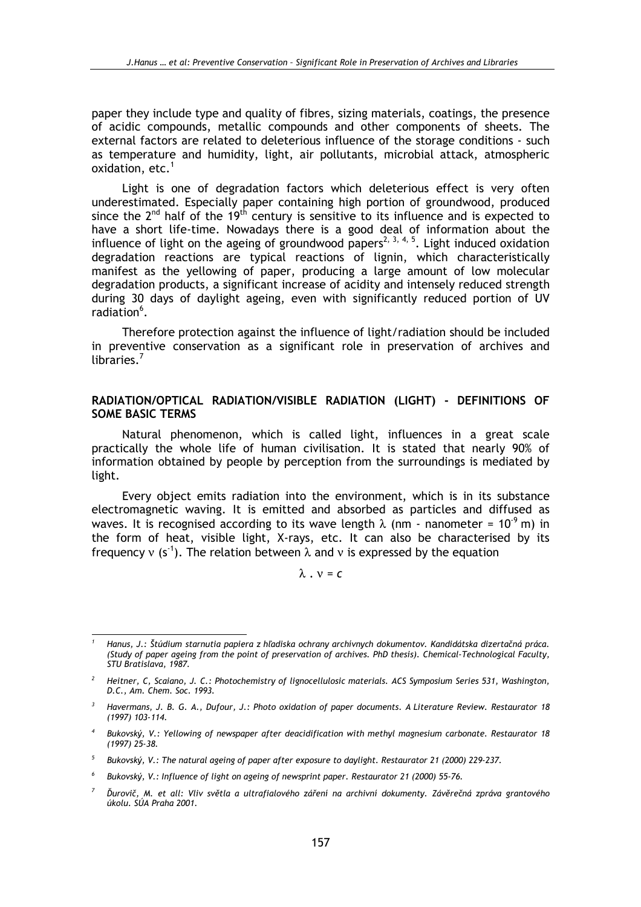paper they include type and quality of fibres, sizing materials, coatings, the presence of acidic compounds, metallic compounds and other components of sheets. The external factors are related to deleterious influence of the storage conditions - such as temperature and humidity, light, air pollutants, microbial attack, atmospheric oxidation, etc.<sup>1</sup>

Light is one of degradation factors which deleterious effect is very often underestimated. Especially paper containing high portion of groundwood, produced since the  $2^{nd}$  half of the 19<sup>th</sup> century is sensitive to its influence and is expected to have a short life-time. Nowadays there is a good deal of information about the influence of light on the ageing of groundwood papers<sup>2, 3, 4, 5</sup>. Light induced oxidation degradation reactions are typical reactions of lignin, which characteristically manifest as the yellowing of paper, producing a large amount of low molecular degradation products, a significant increase of acidity and intensely reduced strength during 30 days of daylight ageing, even with significantly reduced portion of UV radiation<sup>6</sup>.

Therefore protection against the influence of light/radiation should be included in preventive conservation as a significant role in preservation of archives and libraries. $<sup>7</sup>$ </sup>

### RADIATION/OPTICAL RADIATION/VISIBLE RADIATION (LIGHT) - DEFINITIONS OF **SOME BASIC TERMS**

Natural phenomenon, which is called light, influences in a great scale practically the whole life of human civilisation. It is stated that nearly 90% of information obtained by people by perception from the surroundings is mediated by light.

Every object emits radiation into the environment, which is in its substance electromagnetic waving. It is emitted and absorbed as particles and diffused as waves. It is recognised according to its wave length  $\lambda$  (nm - nanometer =  $10^{-9}$  m) in the form of heat, visible light, X-rays, etc. It can also be characterised by its frequency y (s<sup>-1</sup>). The relation between  $\lambda$  and y is expressed by the equation

 $\lambda$ ,  $v = c$ 

Hanus, J.: Štúdium starnutia papiera z hľadiska ochrany archívnych dokumentov. Kandidátska dizertačná práca, (Study of paper ageing from the point of preservation of archives. PhD thesis). Chemical-Technological Faculty, STU Bratislava, 1987.

 $\overline{2}$ Heitner, C, Scaiano, J. C.: Photochemistry of lignocellulosic materials. ACS Symposium Series 531, Washington, D.C., Am. Chem. Soc. 1993.

<sup>&</sup>lt;sup>3</sup> Havermans, J. B. G. A., Dufour, J.: Photo oxidation of paper documents. A Literature Review. Restaurator 18  $(1997)$   $103 - 114$ 

Bukovský, V.: Yellowing of newspaper after deacidification with methyl magnesium carbonate. Restaurator 18  $(1997)$  25-38.

 $\mathfrak{s}$ Bukovský, V.: The natural ageing of paper after exposure to daylight. Restaurator 21 (2000) 229-237.

<sup>6</sup> Bukovský, V.: Influence of light on ageing of newsprint paper. Restaurator 21 (2000) 55-76.

Ďurovič, M. et all: Vliv světla a ultrafialového záření na archivní dokumenty. Závěrečná zpráva grantového úkolu. SÚA Praha 2001.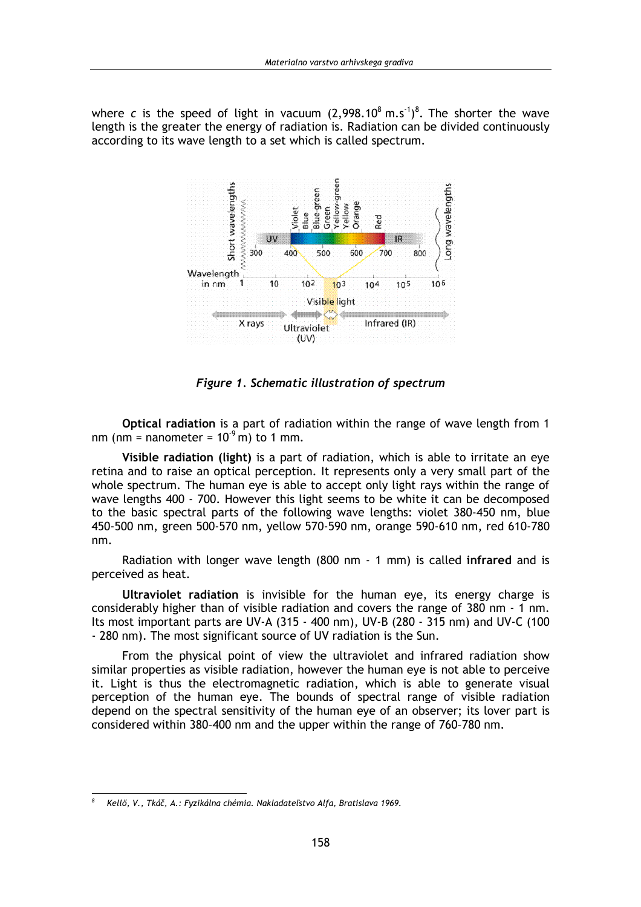where c is the speed of light in vacuum  $(2.998.10^8 \text{ m.s}^1)^8$ . The shorter the wave length is the greater the energy of radiation is. Radiation can be divided continuously according to its wave length to a set which is called spectrum.



Figure 1. Schematic illustration of spectrum

Optical radiation is a part of radiation within the range of wave length from 1 nm (nm = nanometer =  $10<sup>9</sup>$  m) to 1 mm.

Visible radiation (light) is a part of radiation, which is able to irritate an eye retina and to raise an optical perception. It represents only a very small part of the whole spectrum. The human eye is able to accept only light rays within the range of wave lengths 400 - 700. However this light seems to be white it can be decomposed to the basic spectral parts of the following wave lengths: violet 380-450 nm, blue 450-500 nm, green 500-570 nm, yellow 570-590 nm, orange 590-610 nm, red 610-780 nm.

Radiation with longer wave length (800 nm - 1 mm) is called infrared and is perceived as heat.

Ultraviolet radiation is invisible for the human eye, its energy charge is considerably higher than of visible radiation and covers the range of 380 nm - 1 nm. Its most important parts are UV-A (315 - 400 nm), UV-B (280 - 315 nm) and UV-C (100 - 280 nm). The most significant source of UV radiation is the Sun.

From the physical point of view the ultraviolet and infrared radiation show similar properties as visible radiation, however the human eve is not able to perceive it. Light is thus the electromagnetic radiation, which is able to generate visual perception of the human eye. The bounds of spectral range of visible radiation depend on the spectral sensitivity of the human eye of an observer; its lover part is considered within 380-400 nm and the upper within the range of 760-780 nm.

 $\boldsymbol{s}$ Kellő, V., Tkáč, A.: Fyzikálna chémia. Nakladateľstvo Alfa, Bratislava 1969.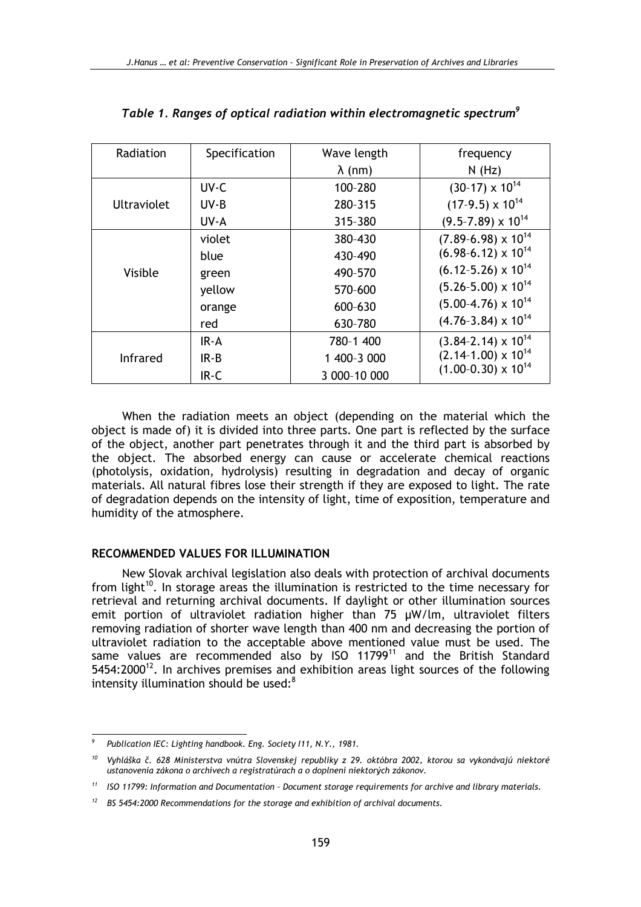| Radiation          | Specification | Wave length    | frequency                      |  |
|--------------------|---------------|----------------|--------------------------------|--|
|                    |               | $\lambda$ (nm) | N(Hz)                          |  |
| <b>Ultraviolet</b> | UV-C          | 100-280        | $(30-17) \times 10^{14}$       |  |
|                    | UV-B          | 280-315        | $(17-9.5) \times 10^{14}$      |  |
|                    | UV-A          | 315-380        | $(9.5 - 7.89) \times 10^{14}$  |  |
| Visible            | violet        | 380-430        | $(7.89 - 6.98) \times 10^{14}$ |  |
|                    | blue          | 430-490        | $(6.98-6.12) \times 10^{14}$   |  |
|                    | green         | 490-570        | $(6.12 - 5.26) \times 10^{14}$ |  |
|                    | yellow        | 570-600        | $(5.26 - 5.00) \times 10^{14}$ |  |
|                    | orange        | 600-630        | $(5.00-4.76) \times 10^{14}$   |  |
|                    | red           | 630-780        | $(4.76 - 3.84) \times 10^{14}$ |  |
| <b>Infrared</b>    | $IR-A$        | 780-1 400      | $(3.84 - 2.14) \times 10^{14}$ |  |
|                    | $IR-B$        | 1 400-3 000    | $(2.14-1.00) \times 10^{14}$   |  |
|                    | IR-C          | 3 000-10 000   | $(1.00-0.30) \times 10^{14}$   |  |

When the radiation meets an object (depending on the material which the object is made of) it is divided into three parts. One part is reflected by the surface of the object, another part penetrates through it and the third part is absorbed by the object. The absorbed energy can cause or accelerate chemical reactions (photolysis, oxidation, hydrolysis) resulting in degradation and decay of organic materials. All natural fibres lose their strength if they are exposed to light. The rate of degradation depends on the intensity of light, time of exposition, temperature and humidity of the atmosphere.

### **RECOMMENDED VALUES FOR ILLUMINATION**

New Slovak archival legislation also deals with protection of archival documents from light<sup>10</sup>. In storage areas the illumination is restricted to the time necessary for retrieval and returning archival documents. If daylight or other illumination sources emit portion of ultraviolet radiation higher than 75 µW/lm, ultraviolet filters removing radiation of shorter wave length than 400 nm and decreasing the portion of ultraviolet radiation to the acceptable above mentioned value must be used. The same values are recommended also by ISO 11799<sup>11</sup> and the British Standard 5454:2000<sup>12</sup>. In archives premises and exhibition areas light sources of the following intensity illumination should be used:<sup>8</sup>

Publication IEC: Lighting handbook. Eng. Society 111, N.Y., 1981.

Vyhláška č. 628 Ministerstva vnútra Slovenskej republiky z 29. októbra 2002, ktorou sa vykonávajú niektoré ustanovenia zákona o archívech a registratúrach a o doplnení niektorých zákonov.

ISO 11799: Information and Documentation - Document storage requirements for archive and library materials.

 $12$  BS 5454:2000 Recommendations for the storage and exhibition of archival documents.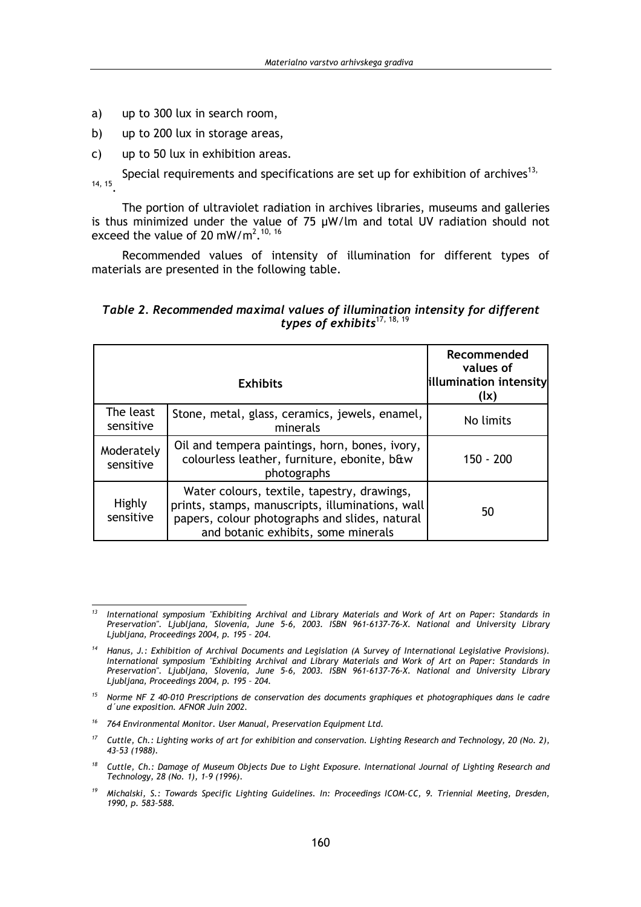- $a)$ up to 300 lux in search room.
- b) up to 200 lux in storage areas,
- up to 50 lux in exhibition areas.  $\mathsf{C}$

Special requirements and specifications are set up for exhibition of archives<sup>13,</sup> 14, 15

The portion of ultraviolet radiation in archives libraries, museums and galleries is thus minimized under the value of  $75 \mu W/m$  and total UV radiation should not exceed the value of 20 mW/m<sup>2</sup>.<sup>10, 16</sup>

Recommended values of intensity of illumination for different types of materials are presented in the following table.

### Table 2. Recommended maximal values of illumination intensity for different types of exhibits<sup>17, 18, 19</sup>

|                         | Recommended<br>values of<br>illumination intensity<br>(lx)                                                                                                                               |           |
|-------------------------|------------------------------------------------------------------------------------------------------------------------------------------------------------------------------------------|-----------|
| The least<br>sensitive  | Stone, metal, glass, ceramics, jewels, enamel,<br>minerals                                                                                                                               | No limits |
| Moderately<br>sensitive | Oil and tempera paintings, horn, bones, ivory,<br>colourless leather, furniture, ebonite, b&w<br>photographs                                                                             | 150 - 200 |
| Highly<br>sensitive     | Water colours, textile, tapestry, drawings,<br>prints, stamps, manuscripts, illuminations, wall<br>papers, colour photographs and slides, natural<br>and botanic exhibits, some minerals | 50        |

- <sup>15</sup> Norme NF Z 40-010 Prescriptions de conservation des documents graphiques et photographiques dans le cadre d'une exposition. AFNOR Juin 2002.
- $16$ 764 Environmental Monitor. User Manual, Preservation Equipment Ltd.
- $17$ Cuttle, Ch.: Lighting works of art for exhibition and conservation. Lighting Research and Technology, 20 (No. 2), 43-53 (1988).
- <sup>18</sup> Cuttle, Ch.: Damage of Museum Objects Due to Light Exposure. International Journal of Lighting Research and Technology, 28 (No. 1), 1-9 (1996).
- $19$ Michalski, S.: Towards Specific Lighting Guidelines. In: Proceedings ICOM-CC, 9. Triennial Meeting, Dresden, 1990, p. 583-588.

 $13$ International symposium "Exhibiting Archival and Library Materials and Work of Art on Paper: Standards in Preservation". Ljubljana, Slovenia, June 5-6, 2003. ISBN 961-6137-76-X. National and University Library<br>Ljubljana, Proceedings 2004, p. 195 - 204.

<sup>&</sup>lt;sup>14</sup> Hanus, J.: Exhibition of Archival Documents and Legislation (A Survey of International Legislative Provisions). International symposium "Exhibiting Archival and Library Materials and Work of Art on Paper: Standards in<br>Preservation". Ljubljana, Slovenia, June 5-6, 2003. ISBN 961-6137-76-X. National and University Library Ljubljana, Proceedings 2004, p. 195 - 204.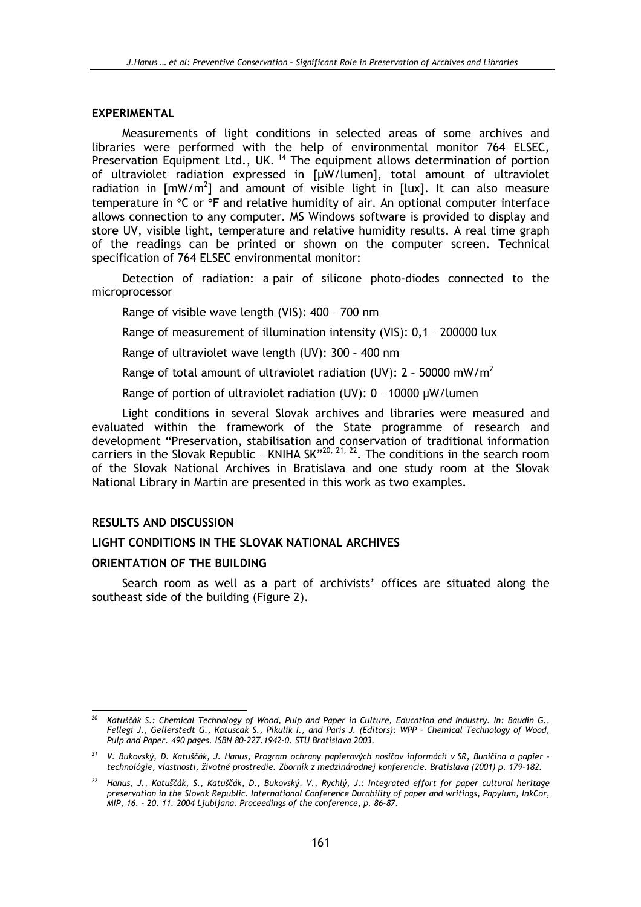#### **EXPERIMENTAL**

Measurements of light conditions in selected areas of some archives and libraries were performed with the help of environmental monitor 764 ELSEC, Preservation Equipment Ltd., UK.<sup>14</sup> The equipment allows determination of portion of ultraviolet radiation expressed in [µW/lumen], total amount of ultraviolet radiation in  $\lceil mW/m^2 \rceil$  and amount of visible light in  $\lceil \log n \rceil$ . It can also measure temperature in °C or °F and relative humidity of air. An optional computer interface allows connection to any computer. MS Windows software is provided to display and store UV, visible light, temperature and relative humidity results. A real time graph of the readings can be printed or shown on the computer screen. Technical specification of 764 ELSEC environmental monitor:

Detection of radiation: a pair of silicone photo-diodes connected to the microprocessor

Range of visible wave length (VIS): 400 - 700 nm

Range of measurement of illumination intensity (VIS): 0,1 - 200000 lux

Range of ultraviolet wave length (UV): 300 - 400 nm

Range of total amount of ultraviolet radiation (UV):  $2 - 50000$  mW/m<sup>2</sup>

Range of portion of ultraviolet radiation (UV): 0 - 10000 µW/lumen

Light conditions in several Slovak archives and libraries were measured and evaluated within the framework of the State programme of research and development "Preservation, stabilisation and conservation of traditional information carriers in the Slovak Republic - KNIHA SK"<sup>20, 21, 22</sup>. The conditions in the search room of the Slovak National Archives in Bratislava and one study room at the Slovak National Library in Martin are presented in this work as two examples.

#### **RESULTS AND DISCUSSION**

#### LIGHT CONDITIONS IN THE SLOVAK NATIONAL ARCHIVES

#### ORIENTATION OF THE BUILDING

Search room as well as a part of archivists' offices are situated along the southeast side of the building (Figure 2).

 $20<sup>1</sup>$ Katuščák S.: Chemical Technology of Wood, Pulp and Paper in Culture, Education and Industry. In: Baudin G., Fellegi J., Gellerstedt G., Katuscak S., Pikulik I., and Paris J. (Editors): WPP - Chemical Technology of Wood, Pulp and Paper, 490 pages, ISBN 80-227, 1942-0, STU Bratislava 2003,

<sup>&</sup>lt;sup>21</sup> V. Bukovský, D. Katuščák, J. Hanus, Program ochrany papierových nosičov informácií v SR, Buničina a papier technológie, vlastnosti, životné prostredie. Zborník z medzinárodnej konferencie. Bratislava (2001) p. 179-182.

<sup>&</sup>lt;sup>22</sup> Hanus, J., Katuščák, S., Katuščák, D., Bukovský, V., Rychlý, J.: Integrated effort for paper cultural heritage preservation in the Slovak Republic. International Conference Durability of paper and writings, Papylum, InkCor, MIP, 16. - 20. 11. 2004 Ljubljana. Proceedings of the conference, p. 86-87.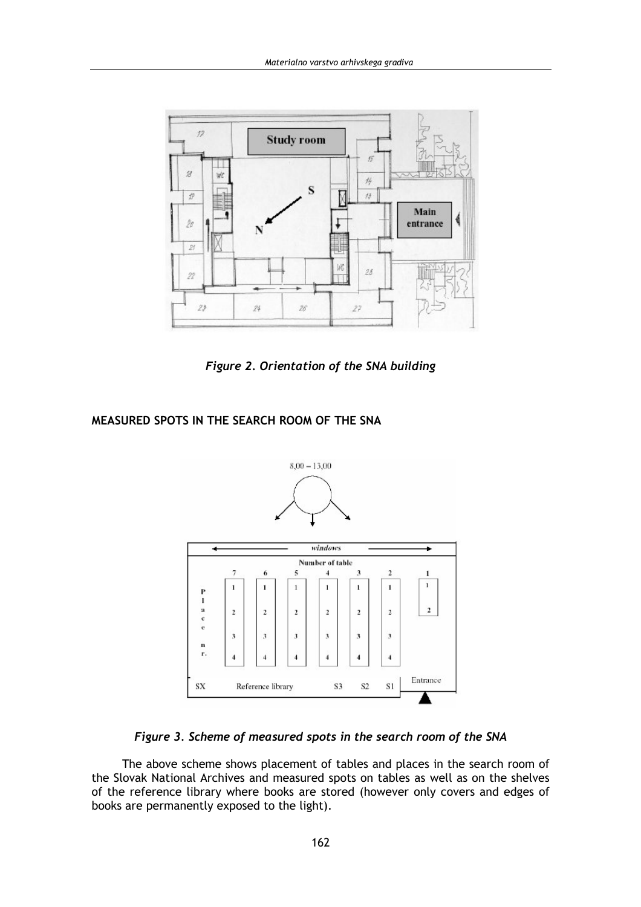

Figure 2. Orientation of the SNA building

## MEASURED SPOTS IN THE SEARCH ROOM OF THE SNA



## Figure 3. Scheme of measured spots in the search room of the SNA

The above scheme shows placement of tables and places in the search room of the Slovak National Archives and measured spots on tables as well as on the shelves of the reference library where books are stored (however only covers and edges of books are permanently exposed to the light).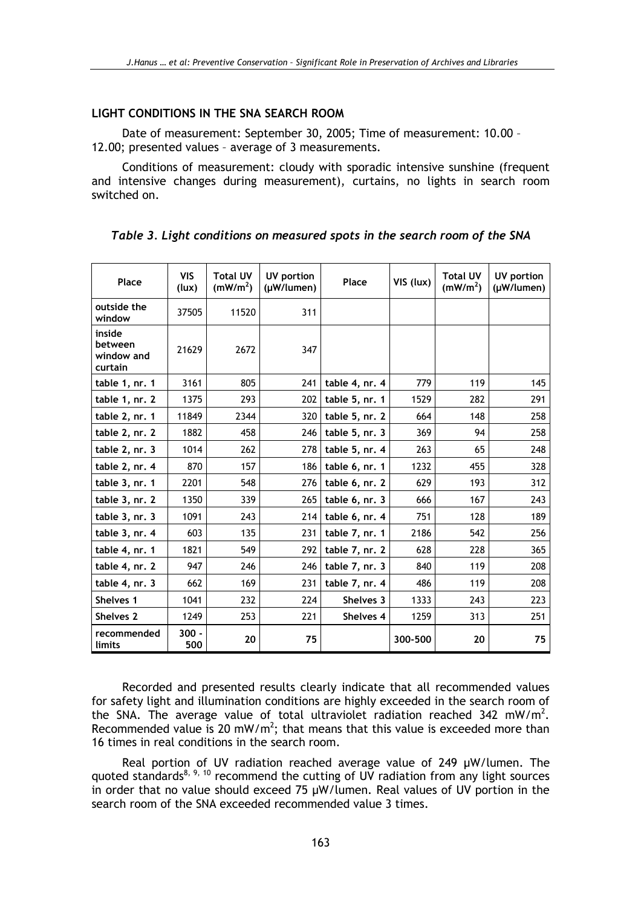### LIGHT CONDITIONS IN THE SNA SEARCH ROOM

Date of measurement: September 30, 2005; Time of measurement: 10.00 -12.00; presented values - average of 3 measurements.

Conditions of measurement: cloudy with sporadic intensive sunshine (frequent and intensive changes during measurement), curtains, no lights in search room switched on.

| Place                                      | <b>VIS</b><br>(lux) | <b>Total UV</b><br>(mW/m <sup>2</sup> ) | UV portion<br>(µW/lumen) | Place          | VIS (lux) | <b>Total UV</b><br>(mW/m <sup>2</sup> ) | UV portion<br>(µW/lumen) |
|--------------------------------------------|---------------------|-----------------------------------------|--------------------------|----------------|-----------|-----------------------------------------|--------------------------|
| outside the<br>window                      | 37505               | 11520                                   | 311                      |                |           |                                         |                          |
| inside<br>between<br>window and<br>curtain | 21629               | 2672                                    | 347                      |                |           |                                         |                          |
| table 1, nr. 1                             | 3161                | 805                                     | 241                      | table 4, nr. 4 | 779       | 119                                     | 145                      |
| table 1, nr. 2                             | 1375                | 293                                     | 202                      | table 5, nr. 1 | 1529      | 282                                     | 291                      |
| table 2, nr. 1                             | 11849               | 2344                                    | 320                      | table 5, nr. 2 | 664       | 148                                     | 258                      |
| table 2, nr. 2                             | 1882                | 458                                     | 246                      | table 5, nr. 3 | 369       | 94                                      | 258                      |
| table 2, nr. 3                             | 1014                | 262                                     | 278                      | table 5, nr. 4 | 263       | 65                                      | 248                      |
| table 2, nr. 4                             | 870                 | 157                                     | 186                      | table 6, nr. 1 | 1232      | 455                                     | 328                      |
| table 3, nr. 1                             | 2201                | 548                                     | 276                      | table 6, nr. 2 | 629       | 193                                     | 312                      |
| table 3, nr. 2                             | 1350                | 339                                     | 265                      | table 6, nr. 3 | 666       | 167                                     | 243                      |
| table 3, nr. 3                             | 1091                | 243                                     | 214                      | table 6, nr. 4 | 751       | 128                                     | 189                      |
| table 3, nr. 4                             | 603                 | 135                                     | 231                      | table 7, nr. 1 | 2186      | 542                                     | 256                      |
| table 4, nr. 1                             | 1821                | 549                                     | 292                      | table 7, nr. 2 | 628       | 228                                     | 365                      |
| table 4, nr. 2                             | 947                 | 246                                     | 246                      | table 7, nr. 3 | 840       | 119                                     | 208                      |
| table 4, nr. 3                             | 662                 | 169                                     | 231                      | table 7, nr. 4 | 486       | 119                                     | 208                      |
| Shelves 1                                  | 1041                | 232                                     | 224                      | Shelves 3      | 1333      | 243                                     | 223                      |
| Shelves 2                                  | 1249                | 253                                     | 221                      | Shelves 4      | 1259      | 313                                     | 251                      |
| recommended<br>limits                      | $300 -$<br>500      | 20                                      | 75                       |                | 300-500   | 20                                      | 75                       |

Table 3. Light conditions on measured spots in the search room of the SNA

Recorded and presented results clearly indicate that all recommended values for safety light and illumination conditions are highly exceeded in the search room of the SNA. The average value of total ultraviolet radiation reached  $342$  mW/m<sup>2</sup>. Recommended value is 20 mW/m<sup>2</sup>; that means that this value is exceeded more than 16 times in real conditions in the search room.

Real portion of UV radiation reached average value of 249  $\mu$ W/lumen. The quoted standards<sup>8, 9, 10</sup> recommend the cutting of UV radiation from any light sources in order that no value should exceed 75 µW/lumen. Real values of UV portion in the search room of the SNA exceeded recommended value 3 times.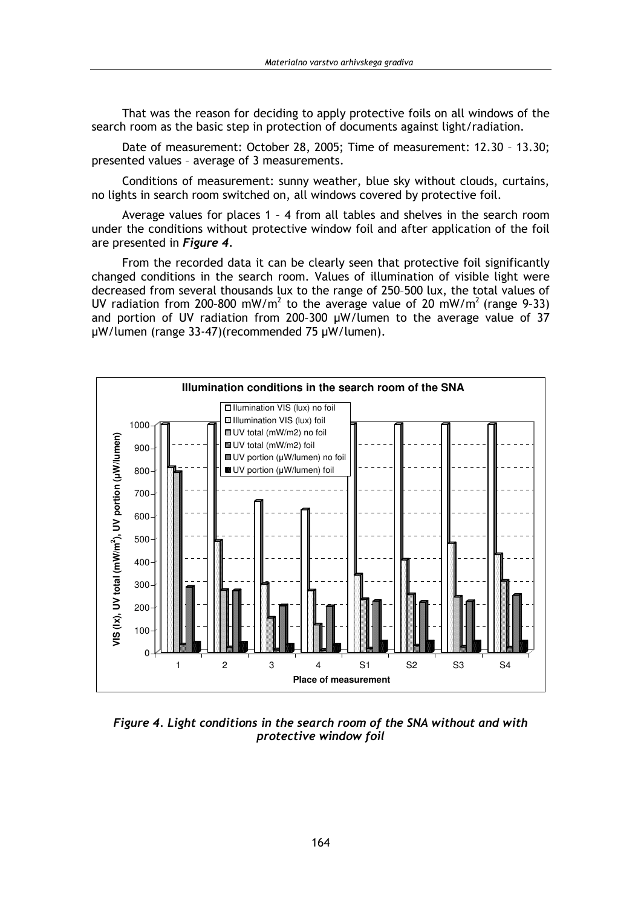That was the reason for deciding to apply protective foils on all windows of the search room as the basic step in protection of documents against light/radiation.

Date of measurement: October 28, 2005; Time of measurement: 12.30 - 13.30; presented values - average of 3 measurements.

Conditions of measurement: sunny weather, blue sky without clouds, curtains, no lights in search room switched on, all windows covered by protective foil.

Average values for places 1 - 4 from all tables and shelves in the search room under the conditions without protective window foil and after application of the foil are presented in Figure 4.

From the recorded data it can be clearly seen that protective foil significantly changed conditions in the search room. Values of illumination of visible light were decreased from several thousands lux to the range of 250-500 lux, the total values of UV radiation from 200-800 mW/m<sup>2</sup> to the average value of 20 mW/m<sup>2</sup> (range 9-33) and portion of UV radiation from 200-300 µW/lumen to the average value of 37 µW/lumen (range 33-47)(recommended 75 µW/lumen).



Figure 4. Light conditions in the search room of the SNA without and with protective window foil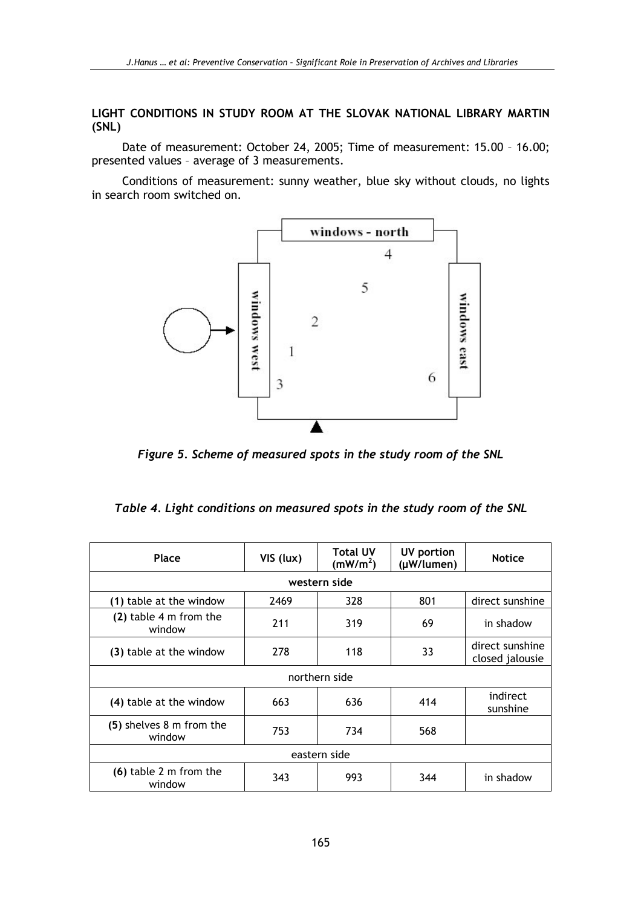LIGHT CONDITIONS IN STUDY ROOM AT THE SLOVAK NATIONAL LIBRARY MARTIN  $(SNL)$ 

Date of measurement: October 24, 2005; Time of measurement: 15.00 - 16.00; presented values - average of 3 measurements.

Conditions of measurement: sunny weather, blue sky without clouds, no lights in search room switched on.



Figure 5. Scheme of measured spots in the study room of the SNL

|  |  | Table 4. Light conditions on measured spots in the study room of the SNL |
|--|--|--------------------------------------------------------------------------|
|--|--|--------------------------------------------------------------------------|

| Place                              | VIS (lux) | <b>Total UV</b><br>(mW/m <sup>2</sup> ) | UV portion<br>(µW/lumen) | <b>Notice</b>                      |  |
|------------------------------------|-----------|-----------------------------------------|--------------------------|------------------------------------|--|
| western side                       |           |                                         |                          |                                    |  |
| (1) table at the window            | 2469      | 328                                     | 801                      | direct sunshine                    |  |
| (2) table 4 m from the<br>window   | 211       | 319                                     | 69                       | in shadow                          |  |
| (3) table at the window            | 278       | 118                                     | 33                       | direct sunshine<br>closed jalousie |  |
| northern side                      |           |                                         |                          |                                    |  |
| (4) table at the window            | 663       | 636                                     | 414                      | indirect<br>sunshine               |  |
| (5) shelves 8 m from the<br>window | 753       | 734                                     | 568                      |                                    |  |
| eastern side                       |           |                                         |                          |                                    |  |
| (6) table 2 m from the<br>window   | 343       | 993                                     | 344                      | in shadow                          |  |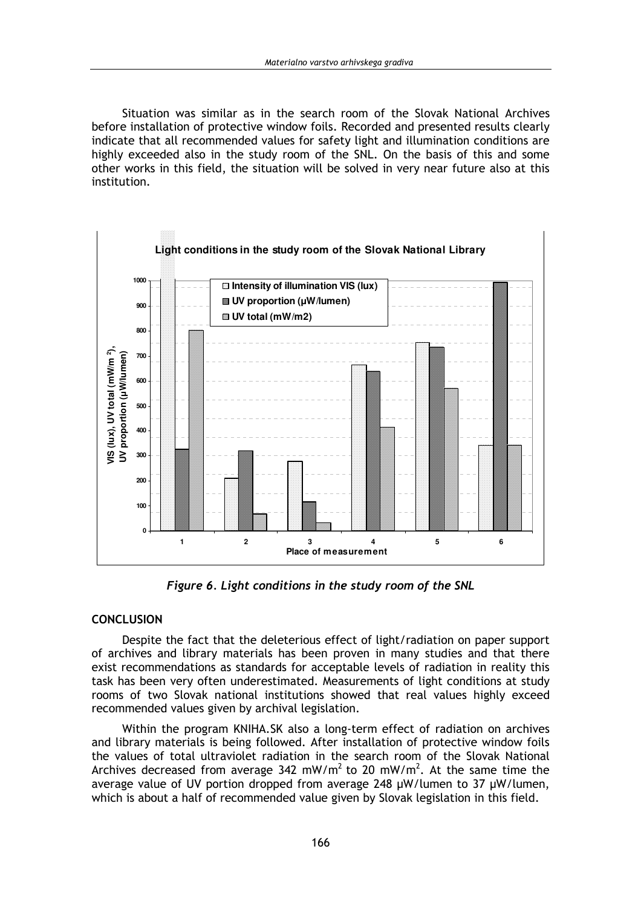Situation was similar as in the search room of the Slovak National Archives before installation of protective window foils. Recorded and presented results clearly indicate that all recommended values for safety light and illumination conditions are highly exceeded also in the study room of the SNL. On the basis of this and some other works in this field, the situation will be solved in very near future also at this institution.



Figure 6. Light conditions in the study room of the SNL

#### **CONCLUSION**

Despite the fact that the deleterious effect of light/radiation on paper support of archives and library materials has been proven in many studies and that there exist recommendations as standards for acceptable levels of radiation in reality this task has been very often underestimated. Measurements of light conditions at study rooms of two Slovak national institutions showed that real values highly exceed recommended values given by archival legislation.

Within the program KNIHA.SK also a long-term effect of radiation on archives and library materials is being followed. After installation of protective window foils the values of total ultraviolet radiation in the search room of the Slovak National Archives decreased from average 342 mW/m<sup>2</sup> to 20 mW/m<sup>2</sup>. At the same time the average value of UV portion dropped from average 248 µW/lumen to 37 µW/lumen, which is about a half of recommended value given by Slovak legislation in this field.